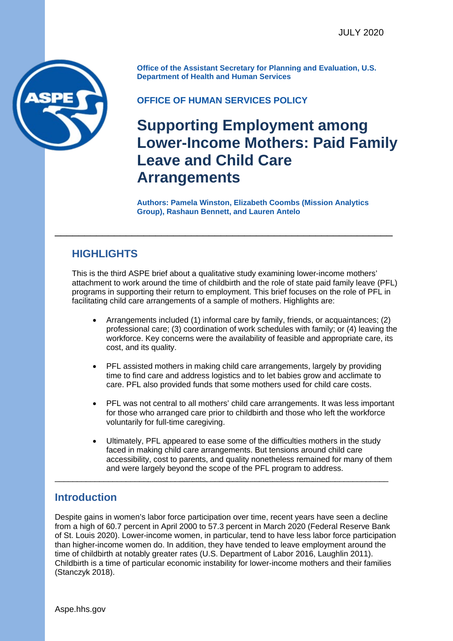

**Office of the Assistant Secretary for Planning and Evaluation, U.S. Department of Health and Human Services** 

## **OFFICE OF HUMAN SERVICES POLICY**

# **Supporting Employment among Lower-Income Mothers: Paid Family Leave and Child Care Arrangements**<br>Authors: Pamela Winston, Elizabeth Coombs (Mission Analytics )

**Group), Rashaun Bennett, and Lauren Antelo** 

# **HIGHLIGHTS**

This is the third ASPE brief about a qualitative study examining lower-income mothers' attachment to work around the time of childbirth and the role of state paid family leave (PFL) programs in supporting their return to employment. This brief focuses on the role of PFL in facilitating child care arrangements of a sample of mothers. Highlights are:

\_\_\_\_\_\_\_\_\_\_\_\_\_\_\_\_\_\_\_\_\_\_\_\_\_\_\_\_\_\_\_\_\_\_\_\_\_\_\_\_\_\_\_\_\_\_\_\_\_\_\_\_\_\_\_\_\_

- Arrangements included (1) informal care by family, friends, or acquaintances; (2) professional care; (3) coordination of work schedules with family; or (4) leaving the workforce. Key concerns were the availability of feasible and appropriate care, its cost, and its quality.
- PFL assisted mothers in making child care arrangements, largely by providing time to find care and address logistics and to let babies grow and acclimate to care. PFL also provided funds that some mothers used for child care costs.
- PFL was not central to all mothers' child care arrangements. It was less important for those who arranged care prior to childbirth and those who left the workforce voluntarily for full-time caregiving.
- Ultimately, PFL appeared to ease some of the difficulties mothers in the study faced in making child care arrangements. But tensions around child care accessibility, cost to parents, and quality nonetheless remained for many of them and were largely beyond the scope of the PFL program to address.

# **Introduction**

Despite gains in women's labor force participation over time, recent years have seen a decline from a high of 60.7 percent in April 2000 to 57.3 percent in March 2020 (Federal Reserve Bank of St. Louis 2020). Lower-income women, in particular, tend to have less labor force participation than higher-income women do. In addition, they have tended to leave employment around the time of childbirth at notably greater rates (U.S. Department of Labor 2016, Laughlin 2011). Childbirth is a time of particular economic instability for lower-income mothers and their families (Stanczyk 2018).

\_\_\_\_\_\_\_\_\_\_\_\_\_\_\_\_\_\_\_\_\_\_\_\_\_\_\_\_\_\_\_\_\_\_\_\_\_\_\_\_\_\_\_\_\_\_\_\_\_\_\_\_\_\_\_\_\_\_\_\_\_\_\_\_\_\_\_\_\_\_\_\_\_\_\_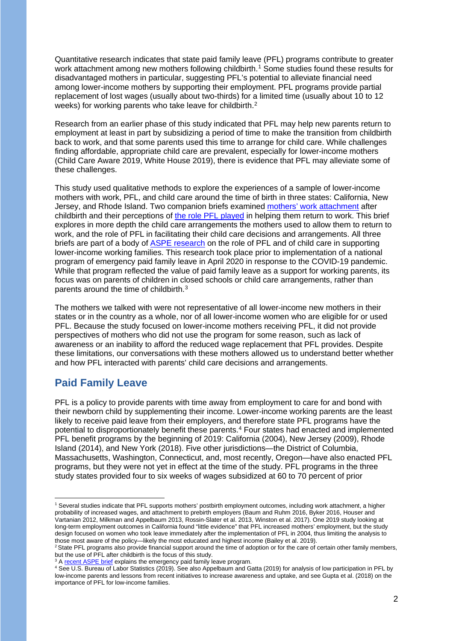Quantitative research indicates that state paid family leave (PFL) programs contribute to greater work attachment among new mothers following childbirth. [1](#page-1-0) Some studies found these results for disadvantaged mothers in particular, suggesting PFL's potential to alleviate financial need among lower-income mothers by supporting their employment. PFL programs provide partial replacement of lost wages (usually about two-thirds) for a limited time (usually about 10 to 12 weeks) for working parents who take leave for childbirth.<sup>2</sup>

Research from an earlier phase of this study indicated that PFL may help new parents return to employment at least in part by subsidizing a period of time to make the transition from childbirth back to work, and that some parents used this time to arrange for child care. While challenges finding affordable, appropriate child care are prevalent, especially for lower-income mothers (Child Care Aware 2019, White House 2019), there is evidence that PFL may alleviate some of these challenges.

This study used qualitative methods to explore the experiences of a sample of lower-income mothers with work, PFL, and child care around the time of birth in three states: California, New Jersey, and Rhode Island. Two companion briefs examined mothers' [work attachment](https://aspe.hhs.gov/pdf-report/supporting-employment-among-lower-income-mothers-attachment-work-after-childbirth) after childbirth and their perceptions of [the role PFL played](https://aspe.hhs.gov/pdf-report/supporting-employment-among-lower-income-mothers-role-paid-family-leave) in helping them return to work. This brief explores in more depth the child care arrangements the mothers used to allow them to return to work, and the role of PFL in facilitating their child care decisions and arrangements. All three briefs are part of a body of [ASPE research](https://aspe.hhs.gov/family-leave-lower-income-working-families) on the role of PFL and of child care in supporting lower-income working families. This research took place prior to implementation of a national program of emergency paid family leave in April 2020 in response to the COVID-19 pandemic. While that program reflected the value of paid family leave as a support for working parents, its focus was on parents of children in closed schools or child care arrangements, rather than parents around the time of childbirth. [3](#page-1-2) 

The mothers we talked with were not representative of all lower-income new mothers in their states or in the country as a whole, nor of all lower-income women who are eligible for or used PFL. Because the study focused on lower-income mothers receiving PFL, it did not provide perspectives of mothers who did not use the program for some reason, such as lack of awareness or an inability to afford the reduced wage replacement that PFL provides. Despite these limitations, our conversations with these mothers allowed us to understand better whether and how PFL interacted with parents' child care decisions and arrangements.

# **Paid Family Leave**

PFL is a policy to provide parents with time away from employment to care for and bond with their newborn child by supplementing their income. Lower-income working parents are the least likely to receive paid leave from their employers, and therefore state PFL programs have the potential to disproportionately benefit these parents. [4](#page-1-3) Four states had enacted and implemented PFL benefit programs by the beginning of 2019: California (2004), New Jersey (2009), Rhode Island (2014), and New York (2018). Five other jurisdictions—the District of Columbia, Massachusetts, Washington, Connecticut, and, most recently, Oregon—have also enacted PFL programs, but they were not yet in effect at the time of the study. PFL programs in the three study states provided four to six weeks of wages subsidized at 60 to 70 percent of prior

<span id="page-1-0"></span><sup>1</sup> Several studies indicate that PFL supports mothers' postbirth employment outcomes, including work attachment, a higher probability of increased wages, and attachment to prebirth employers (Baum and Ruhm 2016, Byker 2016, Houser and Vartanian 2012, Milkman and Appelbaum 2013, Rossin-Slater et al. 2013, Winston et al. 2017). One 2019 study looking at long-term employment outcomes in California found "little evidence" that PFL increased mothers' employment, but the study design focused on women who took leave immediately after the implementation of PFL in 2004, thus limiting the analysis to those most aware of the policy—likely the most educated and highest income (Bailey et al. 2019).

<span id="page-1-1"></span><sup>&</sup>lt;sup>2</sup> State PFL programs also provide financial support around the time of adoption or for the care of certain other family members, but the use of PFL after childbirth is the focus of this study.

<span id="page-1-2"></span><sup>&</sup>lt;sup>3</sup> [A recent ASPE brief](https://aspe.hhs.gov/pdf-report/low-income-emergency-paid-leave) explains the emergency paid family leave program.

<span id="page-1-3"></span><sup>4</sup> See U.S. Bureau of Labor Statistics (2019). See also Appelbaum and Gatta (2019) for analysis of low participation in PFL by low-income parents and lessons from recent initiatives to increase awareness and uptake, and see Gupta et al. (2018) on the importance of PFL for low-income families.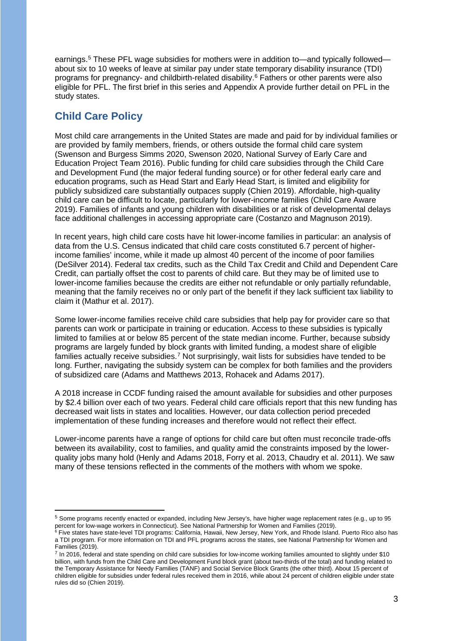earnings.[5](#page-2-0) These PFL wage subsidies for mothers were in addition to—and typically followed about six to 10 weeks of leave at similar pay under state temporary disability insurance (TDI) programs for pregnancy- and childbirth-related disability.<sup>[6](#page-2-1)</sup> Fathers or other parents were also eligible for PFL. The first brief in this series and Appendix A provide further detail on PFL in the study states.

# **Child Care Policy**

Most child care arrangements in the United States are made and paid for by individual families or are provided by family members, friends, or others outside the formal child care system (Swenson and Burgess Simms 2020, Swenson 2020, National Survey of Early Care and Education Project Team 2016). Public funding for child care subsidies through the Child Care and Development Fund (the major federal funding source) or for other federal early care and education programs, such as Head Start and Early Head Start, is limited and eligibility for publicly subsidized care substantially outpaces supply (Chien 2019). Affordable, high-quality child care can be difficult to locate, particularly for lower-income families (Child Care Aware 2019). Families of infants and young children with disabilities or at risk of developmental delays face additional challenges in accessing appropriate care (Costanzo and Magnuson 2019).

In recent years, high child care costs have hit lower-income families in particular: an analysis of data from the U.S. Census indicated that child care costs constituted 6.7 percent of higherincome families' income, while it made up almost 40 percent of the income of poor families (DeSilver 2014). Federal tax credits, such as the Child Tax Credit and Child and Dependent Care Credit, can partially offset the cost to parents of child care. But they may be of limited use to lower-income families because the credits are either not refundable or only partially refundable, meaning that the family receives no or only part of the benefit if they lack sufficient tax liability to claim it (Mathur et al. 2017).

Some lower-income families receive child care subsidies that help pay for provider care so that parents can work or participate in training or education. Access to these subsidies is typically limited to families at or below 85 percent of the state median income. Further, because subsidy programs are largely funded by block grants with limited funding, a modest share of eligible families actually receive subsidies.<sup>[7](#page-2-2)</sup> Not surprisingly, wait lists for subsidies have tended to be long. Further, navigating the subsidy system can be complex for both families and the providers of subsidized care (Adams and Matthews 2013, Rohacek and Adams 2017).

A 2018 increase in CCDF funding raised the amount available for subsidies and other purposes by \$2.4 billion over each of two years. Federal child care officials report that this new funding has decreased wait lists in states and localities. However, our data collection period preceded implementation of these funding increases and therefore would not reflect their effect.

Lower-income parents have a range of options for child care but often must reconcile trade-offs between its availability, cost to families, and quality amid the constraints imposed by the lowerquality jobs many hold (Henly and Adams 2018, Forry et al. 2013, Chaudry et al. 2011). We saw many of these tensions reflected in the comments of the mothers with whom we spoke.

<span id="page-2-0"></span><sup>5</sup> Some programs recently enacted or expanded, including New Jersey's, have higher wage replacement rates (e.g., up to 95 percent for low-wage workers in Connecticut). See National Partnership for Women and Families (2019).

<span id="page-2-1"></span> $^6$  Five states have state-level TDI programs: California, Hawaii, New Jersey, New York, and Rhode Island. Puerto Rico also has a TDI program. For more information on TDI and PFL programs across the states, see National Partnership for Women and Families (2019).

<span id="page-2-2"></span><sup>&</sup>lt;sup>7</sup> In 2016, federal and state spending on child care subsidies for low-income working families amounted to slightly under \$10 billion, with funds from the Child Care and Development Fund block grant (about two-thirds of the total) and funding related to the Temporary Assistance for Needy Families (TANF) and Social Service Block Grants (the other third). About 15 percent of children eligible for subsidies under federal rules received them in 2016, while about 24 percent of children eligible under state rules did so (Chien 2019).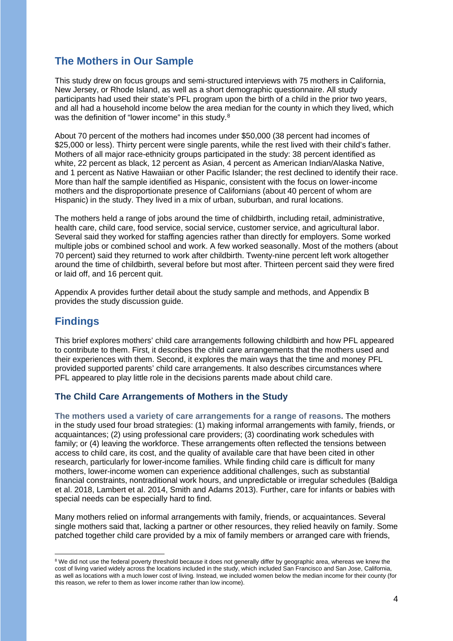# **The Mothers in Our Sample**

This study drew on focus groups and semi-structured interviews with 75 mothers in California, New Jersey, or Rhode Island, as well as a short demographic questionnaire. All study participants had used their state's PFL program upon the birth of a child in the prior two years, and all had a household income below the area median for the county in which they lived, which was the definition of "lower income" in this study.<sup>8</sup>

About 70 percent of the mothers had incomes under \$50,000 (38 percent had incomes of \$25,000 or less). Thirty percent were single parents, while the rest lived with their child's father. Mothers of all major race-ethnicity groups participated in the study: 38 percent identified as white, 22 percent as black, 12 percent as Asian, 4 percent as American Indian/Alaska Native, and 1 percent as Native Hawaiian or other Pacific Islander; the rest declined to identify their race. More than half the sample identified as Hispanic, consistent with the focus on lower-income mothers and the disproportionate presence of Californians (about 40 percent of whom are Hispanic) in the study. They lived in a mix of urban, suburban, and rural locations.

The mothers held a range of jobs around the time of childbirth, including retail, administrative, health care, child care, food service, social service, customer service, and agricultural labor. Several said they worked for staffing agencies rather than directly for employers. Some worked multiple jobs or combined school and work. A few worked seasonally. Most of the mothers (about 70 percent) said they returned to work after childbirth. Twenty-nine percent left work altogether around the time of childbirth, several before but most after. Thirteen percent said they were fired or laid off, and 16 percent quit.

Appendix A provides further detail about the study sample and methods, and Appendix B provides the study discussion guide.

# **Findings**

This brief explores mothers' child care arrangements following childbirth and how PFL appeared to contribute to them. First, it describes the child care arrangements that the mothers used and their experiences with them. Second, it explores the main ways that the time and money PFL provided supported parents' child care arrangements. It also describes circumstances where PFL appeared to play little role in the decisions parents made about child care.

#### **The Child Care Arrangements of Mothers in the Study**

**The mothers used a variety of care arrangements for a range of reasons.** The mothers in the study used four broad strategies: (1) making informal arrangements with family, friends, or acquaintances; (2) using professional care providers; (3) coordinating work schedules with family; or (4) leaving the workforce. These arrangements often reflected the tensions between access to child care, its cost, and the quality of available care that have been cited in other research, particularly for lower-income families. While finding child care is difficult for many mothers, lower-income women can experience additional challenges, such as substantial financial constraints, nontraditional work hours, and unpredictable or irregular schedules (Baldiga et al. 2018, Lambert et al. 2014, Smith and Adams 2013). Further, care for infants or babies with special needs can be especially hard to find.

Many mothers relied on informal arrangements with family, friends, or acquaintances. Several single mothers said that, lacking a partner or other resources, they relied heavily on family. Some patched together child care provided by a mix of family members or arranged care with friends,

<span id="page-3-0"></span><sup>&</sup>lt;sup>8</sup> We did not use the federal poverty threshold because it does not generally differ by geographic area, whereas we knew the cost of living varied widely across the locations included in the study, which included San Francisco and San Jose, California, as well as locations with a much lower cost of living. Instead, we included women below the median income for their county (for this reason, we refer to them as lower income rather than low income).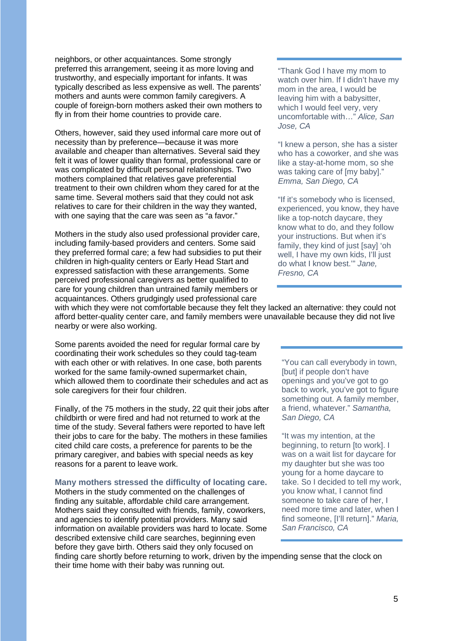neighbors, or other acquaintances. Some strongly preferred this arrangement, seeing it as more loving and trustworthy, and especially important for infants. It was typically described as less expensive as well. The parents' mothers and aunts were common family caregivers. A couple of foreign-born mothers asked their own mothers to fly in from their home countries to provide care.

Others, however, said they used informal care more out of necessity than by preference—because it was more available and cheaper than alternatives. Several said they felt it was of lower quality than formal, professional care or was complicated by difficult personal relationships. Two mothers complained that relatives gave preferential treatment to their own children whom they cared for at the same time. Several mothers said that they could not ask relatives to care for their children in the way they wanted, with one saying that the care was seen as "a favor."

Mothers in the study also used professional provider care, including family-based providers and centers. Some said they preferred formal care; a few had subsidies to put their children in high-quality centers or Early Head Start and expressed satisfaction with these arrangements. Some perceived professional caregivers as better qualified to care for young children than untrained family members or acquaintances. Others grudgingly used professional care

#### "Thank God I have my mom to watch over him. If I didn't have my mom in the area, I would be leaving him with a babysitter, which I would feel very, very uncomfortable with…" *Alice, San Jose, CA*

"I knew a person, she has a sister who has a coworker, and she was like a stay-at-home mom, so she was taking care of [my baby]." *Emma, San Diego, CA*

"If it's somebody who is licensed, experienced, you know, they have like a top-notch daycare, they know what to do, and they follow your instructions. But when it's family, they kind of just [say] 'oh well, I have my own kids, I'll just do what I know best.'" *Jane, Fresno, CA*

with which they were not comfortable because they felt they lacked an alternative: they could not afford better-quality center care, and family members were unavailable because they did not live nearby or were also working.

Some parents avoided the need for regular formal care by coordinating their work schedules so they could tag-team with each other or with relatives. In one case, both parents worked for the same family-owned supermarket chain, which allowed them to coordinate their schedules and act as sole caregivers for their four children.

Finally, of the 75 mothers in the study, 22 quit their jobs after childbirth or were fired and had not returned to work at the time of the study. Several fathers were reported to have left their jobs to care for the baby. The mothers in these families cited child care costs, a preference for parents to be the primary caregiver, and babies with special needs as key reasons for a parent to leave work.

#### **Many mothers stressed the difficulty of locating care.**

Mothers in the study commented on the challenges of finding any suitable, affordable child care arrangement. Mothers said they consulted with friends, family, coworkers, and agencies to identify potential providers. Many said information on available providers was hard to locate. Some described extensive child care searches, beginning even before they gave birth. Others said they only focused on

"You can call everybody in town, [but] if people don't have openings and you've got to go back to work, you've got to figure something out. A family member, a friend, whatever." *Samantha, San Diego, CA*

"It was my intention, at the beginning, to return [to work]. I was on a wait list for daycare for my daughter but she was too young for a home daycare to take. So I decided to tell my work, you know what, I cannot find someone to take care of her, I need more time and later, when I find someone, [I'll return]." *Maria, San Francisco, CA*

finding care shortly before returning to work, driven by the impending sense that the clock on their time home with their baby was running out.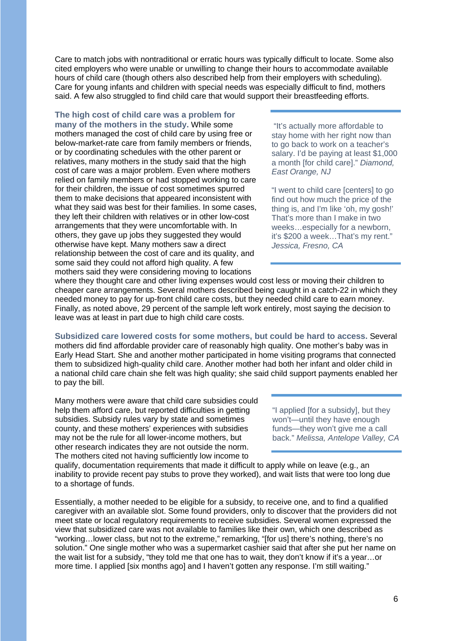Care to match jobs with nontraditional or erratic hours was typically difficult to locate. Some also cited employers who were unable or unwilling to change their hours to accommodate available hours of child care (though others also described help from their employers with scheduling). Care for young infants and children with special needs was especially difficult to find, mothers said. A few also struggled to find child care that would support their breastfeeding efforts.

## **The high cost of child care was a problem for**

**many of the mothers in the study.** While some mothers managed the cost of child care by using free or below-market-rate care from family members or friends, or by coordinating schedules with the other parent or relatives, many mothers in the study said that the high cost of care was a major problem. Even where mothers relied on family members or had stopped working to care for their children, the issue of cost sometimes spurred them to make decisions that appeared inconsistent with what they said was best for their families. In some cases, they left their children with relatives or in other low-cost arrangements that they were uncomfortable with. In others, they gave up jobs they suggested they would otherwise have kept. Many mothers saw a direct relationship between the cost of care and its quality, and some said they could not afford high quality. A few mothers said they were considering moving to locations

"It's actually more affordable to stay home with her right now than to go back to work on a teacher's salary. I'd be paying at least \$1,000 a month [for child care]." *Diamond, East Orange, NJ* 

"I went to child care [centers] to go find out how much the price of the thing is, and I'm like 'oh, my gosh!' That's more than I make in two weeks…especially for a newborn, it's \$200 a week…That's my rent." *Jessica, Fresno, CA*

where they thought care and other living expenses would cost less or moving their children to cheaper care arrangements. Several mothers described being caught in a catch-22 in which they needed money to pay for up-front child care costs, but they needed child care to earn money. Finally, as noted above, 29 percent of the sample left work entirely, most saying the decision to leave was at least in part due to high child care costs.

**Subsidized care lowered costs for some mothers, but could be hard to access.** Several mothers did find affordable provider care of reasonably high quality. One mother's baby was in Early Head Start. She and another mother participated in home visiting programs that connected them to subsidized high-quality child care. Another mother had both her infant and older child in a national child care chain she felt was high quality; she said child support payments enabled her to pay the bill.

Many mothers were aware that child care subsidies could help them afford care, but reported difficulties in getting subsidies. Subsidy rules vary by state and sometimes county, and these mothers' experiences with subsidies may not be the rule for all lower-income mothers, but other research indicates they are not outside the norm. The mothers cited not having sufficiently low income to

"I applied [for a subsidy], but they won't—until they have enough funds—they won't give me a call back." *Melissa, Antelope Valley, CA*

qualify, documentation requirements that made it difficult to apply while on leave (e.g., an inability to provide recent pay stubs to prove they worked), and wait lists that were too long due to a shortage of funds.

Essentially, a mother needed to be eligible for a subsidy, to receive one, and to find a qualified caregiver with an available slot. Some found providers, only to discover that the providers did not meet state or local regulatory requirements to receive subsidies. Several women expressed the view that subsidized care was not available to families like their own, which one described as "working…lower class, but not to the extreme," remarking, "[for us] there's nothing, there's no solution." One single mother who was a supermarket cashier said that after she put her name on the wait list for a subsidy, "they told me that one has to wait, they don't know if it's a year…or more time. I applied [six months ago] and I haven't gotten any response. I'm still waiting."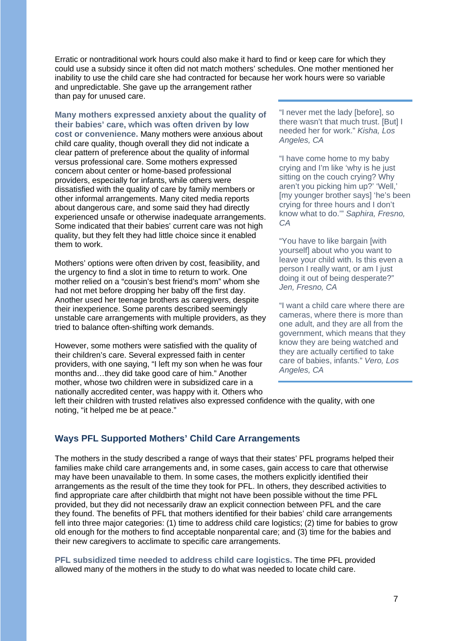Erratic or nontraditional work hours could also make it hard to find or keep care for which they could use a subsidy since it often did not match mothers' schedules. One mother mentioned her inability to use the child care she had contracted for because her work hours were so variable and unpredictable. She gave up the arrangement rather than pay for unused care.

**Many mothers expressed anxiety about the quality of their babies' care, which was often driven by low cost or convenience.** Many mothers were anxious about child care quality, though overall they did not indicate a clear pattern of preference about the quality of informal versus professional care. Some mothers expressed concern about center or home-based professional providers, especially for infants, while others were dissatisfied with the quality of care by family members or other informal arrangements. Many cited media reports about dangerous care, and some said they had directly experienced unsafe or otherwise inadequate arrangements. Some indicated that their babies' current care was not high quality, but they felt they had little choice since it enabled them to work.

Mothers' options were often driven by cost, feasibility, and the urgency to find a slot in time to return to work. One mother relied on a "cousin's best friend's mom" whom she had not met before dropping her baby off the first day. Another used her teenage brothers as caregivers, despite their inexperience. Some parents described seemingly unstable care arrangements with multiple providers, as they tried to balance often-shifting work demands.

However, some mothers were satisfied with the quality of their children's care. Several expressed faith in center providers, with one saying, "I left my son when he was four months and…they did take good care of him." Another mother, whose two children were in subsidized care in a nationally accredited center, was happy with it. Others who "I never met the lady [before], so there wasn't that much trust. [But] I needed her for work." *Kisha, Los Angeles, CA*

"I have come home to my baby crying and I'm like 'why is he just sitting on the couch crying? Why aren't you picking him up?' 'Well,' [my younger brother says] 'he's been crying for three hours and I don't know what to do.'" *Saphira, Fresno, CA*

"You have to like bargain [with yourself] about who you want to leave your child with. Is this even a person I really want, or am I just doing it out of being desperate?" *Jen, Fresno, CA*

"I want a child care where there are cameras, where there is more than one adult, and they are all from the government, which means that they know they are being watched and they are actually certified to take care of babies, infants." *Vero, Los Angeles, CA* 

left their children with trusted relatives also expressed confidence with the quality, with one noting, "it helped me be at peace."

## **Ways PFL Supported Mothers' Child Care Arrangements**

The mothers in the study described a range of ways that their states' PFL programs helped their families make child care arrangements and, in some cases, gain access to care that otherwise may have been unavailable to them. In some cases, the mothers explicitly identified their arrangements as the result of the time they took for PFL. In others, they described activities to find appropriate care after childbirth that might not have been possible without the time PFL provided, but they did not necessarily draw an explicit connection between PFL and the care they found. The benefits of PFL that mothers identified for their babies' child care arrangements fell into three major categories: (1) time to address child care logistics; (2) time for babies to grow old enough for the mothers to find acceptable nonparental care; and (3) time for the babies and their new caregivers to acclimate to specific care arrangements.

**PFL subsidized time needed to address child care logistics.** The time PFL provided allowed many of the mothers in the study to do what was needed to locate child care.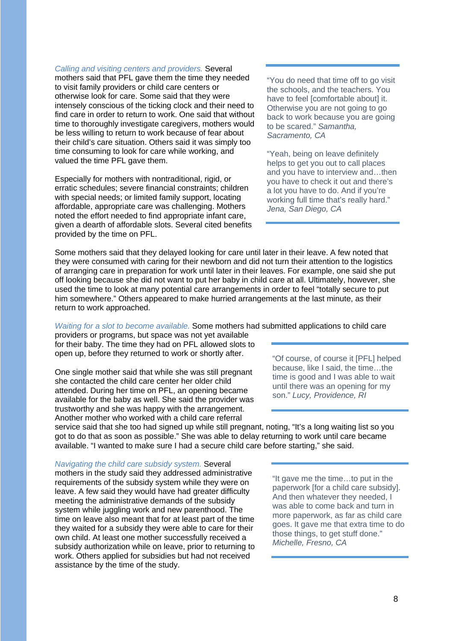*Calling and visiting centers and providers.* Several mothers said that PFL gave them the time they needed to visit family providers or child care centers or otherwise look for care. Some said that they were intensely conscious of the ticking clock and their need to find care in order to return to work. One said that without time to thoroughly investigate caregivers, mothers would be less willing to return to work because of fear about their child's care situation. Others said it was simply too time consuming to look for care while working, and valued the time PFL gave them.

Especially for mothers with nontraditional, rigid, or erratic schedules; severe financial constraints; children with special needs; or limited family support, locating affordable, appropriate care was challenging. Mothers noted the effort needed to find appropriate infant care, given a dearth of affordable slots. Several cited benefits provided by the time on PFL.

"You do need that time off to go visit the schools, and the teachers. You have to feel [comfortable about] it. Otherwise you are not going to go back to work because you are going to be scared." *Samantha, Sacramento, CA*

"Yeah, being on leave definitely helps to get you out to call places and you have to interview and…then you have to check it out and there's a lot you have to do. And if you're working full time that's really hard." *Jena, San Diego, CA*

Some mothers said that they delayed looking for care until later in their leave. A few noted that they were consumed with caring for their newborn and did not turn their attention to the logistics of arranging care in preparation for work until later in their leaves. For example, one said she put off looking because she did not want to put her baby in child care at all. Ultimately, however, she used the time to look at many potential care arrangements in order to feel "totally secure to put him somewhere." Others appeared to make hurried arrangements at the last minute, as their return to work approached.

#### *Waiting for a slot to become available.* Some mothers had submitted applications to child care

providers or programs, but space was not yet available for their baby. The time they had on PFL allowed slots to open up, before they returned to work or shortly after.

One single mother said that while she was still pregnant she contacted the child care center her older child attended. During her time on PFL, an opening became available for the baby as well. She said the provider was trustworthy and she was happy with the arrangement. Another mother who worked with a child care referral

"Of course, of course it [PFL] helped because, like I said, the time…the time is good and I was able to wait until there was an opening for my son." *Lucy, Providence, RI*

service said that she too had signed up while still pregnant, noting, "It's a long waiting list so you got to do that as soon as possible." She was able to delay returning to work until care became available. "I wanted to make sure I had a secure child care before starting," she said.

*Navigating the child care subsidy system.* Several mothers in the study said they addressed administrative requirements of the subsidy system while they were on leave. A few said they would have had greater difficulty meeting the administrative demands of the subsidy system while juggling work and new parenthood. The time on leave also meant that for at least part of the time they waited for a subsidy they were able to care for their own child. At least one mother successfully received a subsidy authorization while on leave, prior to returning to work. Others applied for subsidies but had not received assistance by the time of the study.

"It gave me the time…to put in the paperwork [for a child care subsidy]. And then whatever they needed, I was able to come back and turn in more paperwork, as far as child care goes. It gave me that extra time to do those things, to get stuff done." *Michelle, Fresno, CA*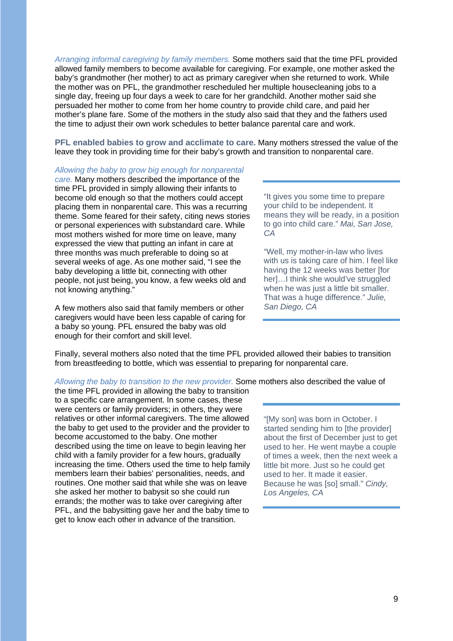*Arranging informal caregiving by family members.* Some mothers said that the time PFL provided allowed family members to become available for caregiving. For example, one mother asked the baby's grandmother (her mother) to act as primary caregiver when she returned to work. While the mother was on PFL, the grandmother rescheduled her multiple housecleaning jobs to a single day, freeing up four days a week to care for her grandchild. Another mother said she persuaded her mother to come from her home country to provide child care, and paid her mother's plane fare. Some of the mothers in the study also said that they and the fathers used the time to adjust their own work schedules to better balance parental care and work.

**PFL enabled babies to grow and acclimate to care.** Many mothers stressed the value of the leave they took in providing time for their baby's growth and transition to nonparental care.

#### *Allowing the baby to grow big enough for nonparental*

*care.* Many mothers described the importance of the time PFL provided in simply allowing their infants to become old enough so that the mothers could accept placing them in nonparental care. This was a recurring theme. Some feared for their safety, citing news stories or personal experiences with substandard care. While most mothers wished for more time on leave, many expressed the view that putting an infant in care at three months was much preferable to doing so at several weeks of age. As one mother said, "I see the baby developing a little bit, connecting with other people, not just being, you know, a few weeks old and not knowing anything."

A few mothers also said that family members or other caregivers would have been less capable of caring for a baby so young. PFL ensured the baby was old enough for their comfort and skill level.

"It gives you some time to prepare your child to be independent. It means they will be ready, in a position to go into child care." *Mai, San Jose, CA*

"Well, my mother-in-law who lives with us is taking care of him. I feel like having the 12 weeks was better [for her]…I think she would've struggled when he was just a little bit smaller. That was a huge difference." *Julie,* 

Finally, several mothers also noted that the time PFL provided allowed their babies to transition from breastfeeding to bottle, which was essential to preparing for nonparental care.

#### *Allowing the baby to transition to the new provider.* Some mothers also described the value of

the time PFL provided in allowing the baby to transition to a specific care arrangement. In some cases, these were centers or family providers; in others, they were relatives or other informal caregivers. The time allowed the baby to get used to the provider and the provider to become accustomed to the baby. One mother described using the time on leave to begin leaving her child with a family provider for a few hours, gradually increasing the time. Others used the time to help family members learn their babies' personalities, needs, and routines. One mother said that while she was on leave she asked her mother to babysit so she could run errands; the mother was to take over caregiving after PFL, and the babysitting gave her and the baby time to get to know each other in advance of the transition.

"[My son] was born in October. I started sending him to [the provider] about the first of December just to get used to her. He went maybe a couple of times a week, then the next week a little bit more. Just so he could get used to her. It made it easier. Because he was [so] small." *Cindy, Los Angeles, CA*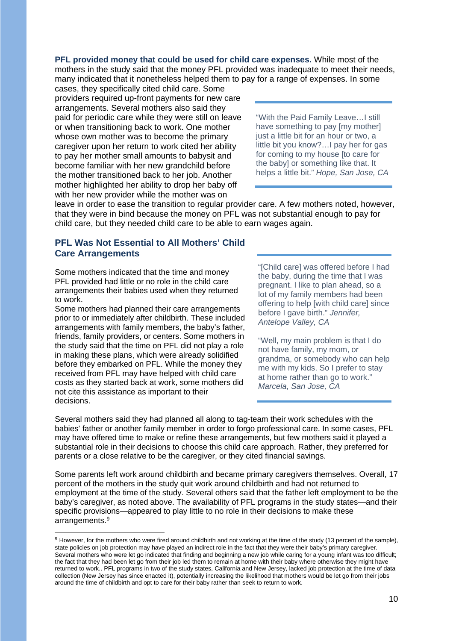**PFL provided money that could be used for child care expenses.** While most of the mothers in the study said that the money PFL provided was inadequate to meet their needs, many indicated that it nonetheless helped them to pay for a range of expenses. In some

cases, they specifically cited child care. Some providers required up-front payments for new care arrangements. Several mothers also said they paid for periodic care while they were still on leave or when transitioning back to work. One mother whose own mother was to become the primary caregiver upon her return to work cited her ability to pay her mother small amounts to babysit and become familiar with her new grandchild before the mother transitioned back to her job. Another mother highlighted her ability to drop her baby off with her new provider while the mother was on

"With the Paid Family Leave…I still have something to pay [my mother] just a little bit for an hour or two, a little bit you know?…I pay her for gas for coming to my house [to care for the baby] or something like that. It helps a little bit." *Hope, San Jose, CA*

leave in order to ease the transition to regular provider care. A few mothers noted, however, that they were in bind because the money on PFL was not substantial enough to pay for child care, but they needed child care to be able to earn wages again.

### **PFL Was Not Essential to All Mothers' Child Care Arrangements**

Some mothers indicated that the time and money PFL provided had little or no role in the child care arrangements their babies used when they returned to work.

Some mothers had planned their care arrangements prior to or immediately after childbirth. These included arrangements with family members, the baby's father, friends, family providers, or centers. Some mothers in the study said that the time on PFL did not play a role in making these plans, which were already solidified before they embarked on PFL. While the money they received from PFL may have helped with child care costs as they started back at work, some mothers did not cite this assistance as important to their decisions.

"[Child care] was offered before I had the baby, during the time that I was pregnant. I like to plan ahead, so a lot of my family members had been offering to help [with child care] since before I gave birth." *Jennifer, Antelope Valley, CA*

"Well, my main problem is that I do not have family, my mom, or grandma, or somebody who can help me with my kids. So I prefer to stay at home rather than go to work." *Marcela, San Jose, CA*

Several mothers said they had planned all along to tag-team their work schedules with the babies' father or another family member in order to forgo professional care. In some cases, PFL may have offered time to make or refine these arrangements, but few mothers said it played a substantial role in their decisions to choose this child care approach. Rather, they preferred for parents or a close relative to be the caregiver, or they cited financial savings.

Some parents left work around childbirth and became primary caregivers themselves. Overall, 17 percent of the mothers in the study quit work around childbirth and had not returned to employment at the time of the study. Several others said that the father left employment to be the baby's caregiver, as noted above. The availability of PFL programs in the study states—and their specific provisions—appeared to play little to no role in their decisions to make these arrangements. [9](#page-9-0)

<span id="page-9-0"></span><sup>9</sup> However, for the mothers who were fired around childbirth and not working at the time of the study (13 percent of the sample), state policies on job protection may have played an indirect role in the fact that they were their baby's primary caregiver. Several mothers who were let go indicated that finding and beginning a new job while caring for a young infant was too difficult; the fact that they had been let go from their job led them to remain at home with their baby where otherwise they might have returned to work.. PFL programs in two of the study states, California and New Jersey, lacked job protection at the time of data collection (New Jersey has since enacted it), potentially increasing the likelihood that mothers would be let go from their jobs around the time of childbirth and opt to care for their baby rather than seek to return to work.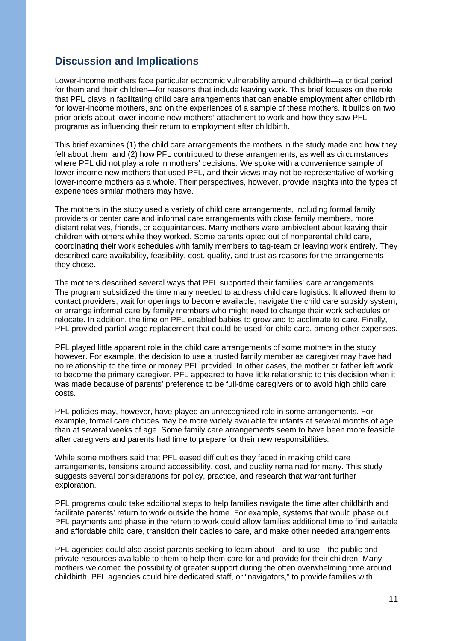# **Discussion and Implications**

Lower-income mothers face particular economic vulnerability around childbirth—a critical period for them and their children—for reasons that include leaving work. This brief focuses on the role that PFL plays in facilitating child care arrangements that can enable employment after childbirth for lower-income mothers, and on the experiences of a sample of these mothers. It builds on two prior briefs about lower-income new mothers' attachment to work and how they saw PFL programs as influencing their return to employment after childbirth.

This brief examines (1) the child care arrangements the mothers in the study made and how they felt about them, and (2) how PFL contributed to these arrangements, as well as circumstances where PFL did not play a role in mothers' decisions. We spoke with a convenience sample of lower-income new mothers that used PFL, and their views may not be representative of working lower-income mothers as a whole. Their perspectives, however, provide insights into the types of experiences similar mothers may have.

The mothers in the study used a variety of child care arrangements, including formal family providers or center care and informal care arrangements with close family members, more distant relatives, friends, or acquaintances. Many mothers were ambivalent about leaving their children with others while they worked. Some parents opted out of nonparental child care, coordinating their work schedules with family members to tag-team or leaving work entirely. They described care availability, feasibility, cost, quality, and trust as reasons for the arrangements they chose.

The mothers described several ways that PFL supported their families' care arrangements. The program subsidized the time many needed to address child care logistics. It allowed them to contact providers, wait for openings to become available, navigate the child care subsidy system, or arrange informal care by family members who might need to change their work schedules or relocate. In addition, the time on PFL enabled babies to grow and to acclimate to care. Finally, PFL provided partial wage replacement that could be used for child care, among other expenses.

PFL played little apparent role in the child care arrangements of some mothers in the study, however. For example, the decision to use a trusted family member as caregiver may have had no relationship to the time or money PFL provided. In other cases, the mother or father left work to become the primary caregiver. PFL appeared to have little relationship to this decision when it was made because of parents' preference to be full-time caregivers or to avoid high child care costs.

PFL policies may, however, have played an unrecognized role in some arrangements. For example, formal care choices may be more widely available for infants at several months of age than at several weeks of age. Some family care arrangements seem to have been more feasible after caregivers and parents had time to prepare for their new responsibilities.

While some mothers said that PFL eased difficulties they faced in making child care arrangements, tensions around accessibility, cost, and quality remained for many. This study suggests several considerations for policy, practice, and research that warrant further exploration.

PFL programs could take additional steps to help families navigate the time after childbirth and facilitate parents' return to work outside the home. For example, systems that would phase out PFL payments and phase in the return to work could allow families additional time to find suitable and affordable child care, transition their babies to care, and make other needed arrangements.

PFL agencies could also assist parents seeking to learn about—and to use—the public and private resources available to them to help them care for and provide for their children. Many mothers welcomed the possibility of greater support during the often overwhelming time around childbirth. PFL agencies could hire dedicated staff, or "navigators," to provide families with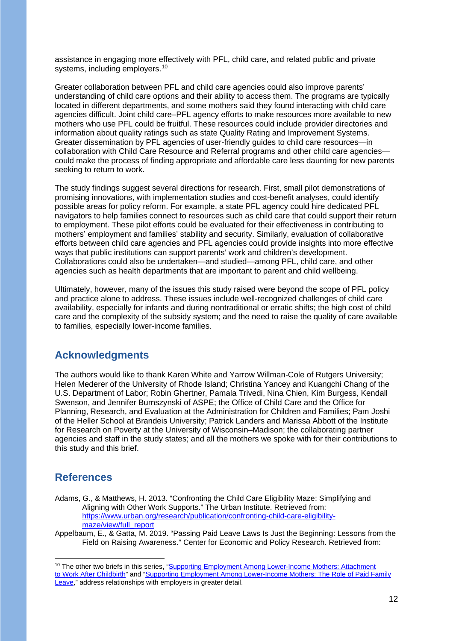assistance in engaging more effectively with PFL, child care, and related public and private systems, including employers.<sup>[10](#page-11-0)</sup>

Greater collaboration between PFL and child care agencies could also improve parents' understanding of child care options and their ability to access them. The programs are typically located in different departments, and some mothers said they found interacting with child care agencies difficult. Joint child care–PFL agency efforts to make resources more available to new mothers who use PFL could be fruitful. These resources could include provider directories and information about quality ratings such as state Quality Rating and Improvement Systems. Greater dissemination by PFL agencies of user-friendly guides to child care resources—in collaboration with Child Care Resource and Referral programs and other child care agencies could make the process of finding appropriate and affordable care less daunting for new parents seeking to return to work.

The study findings suggest several directions for research. First, small pilot demonstrations of promising innovations, with implementation studies and cost-benefit analyses, could identify possible areas for policy reform. For example, a state PFL agency could hire dedicated PFL navigators to help families connect to resources such as child care that could support their return to employment. These pilot efforts could be evaluated for their effectiveness in contributing to mothers' employment and families' stability and security. Similarly, evaluation of collaborative efforts between child care agencies and PFL agencies could provide insights into more effective ways that public institutions can support parents' work and children's development. Collaborations could also be undertaken—and studied—among PFL, child care, and other agencies such as health departments that are important to parent and child wellbeing.

Ultimately, however, many of the issues this study raised were beyond the scope of PFL policy and practice alone to address. These issues include well-recognized challenges of child care availability, especially for infants and during nontraditional or erratic shifts; the high cost of child care and the complexity of the subsidy system; and the need to raise the quality of care available to families, especially lower-income families.

# **Acknowledgments**

The authors would like to thank Karen White and Yarrow Willman-Cole of Rutgers University; Helen Mederer of the University of Rhode Island; Christina Yancey and Kuangchi Chang of the U.S. Department of Labor; Robin Ghertner, Pamala Trivedi, Nina Chien, Kim Burgess, Kendall Swenson, and Jennifer Burnszynski of ASPE; the Office of Child Care and the Office for Planning, Research, and Evaluation at the Administration for Children and Families; Pam Joshi of the Heller School at Brandeis University; Patrick Landers and Marissa Abbott of the Institute for Research on Poverty at the University of Wisconsin–Madison; the collaborating partner agencies and staff in the study states; and all the mothers we spoke with for their contributions to this study and this brief.

# **References**

Adams, G., & Matthews, H. 2013. "Confronting the Child Care Eligibility Maze: Simplifying and Aligning with Other Work Supports." The Urban Institute. Retrieved from: [https://www.urban.org/research/publication/confronting-child-care-eligibility](https://www.urban.org/research/publication/confronting-child-care-eligibility-maze/view/full_report)[maze/view/full\\_report](https://www.urban.org/research/publication/confronting-child-care-eligibility-maze/view/full_report)

Appelbaum, E., & Gatta, M. 2019. "Passing Paid Leave Laws Is Just the Beginning: Lessons from the Field on Raising Awareness." Center for Economic and Policy Research. Retrieved from:

<span id="page-11-0"></span><sup>&</sup>lt;sup>10</sup> The other two briefs in this series, ["Supporting Employment Among Lower-Income Mothers: Attachment](https://aspe.hhs.gov/pdf-report/supporting-employment-among-lower-income-mothers-attachment-work-after-childbirth) [to Work After Childbirth"](https://aspe.hhs.gov/pdf-report/supporting-employment-among-lower-income-mothers-attachment-work-after-childbirth) and "Supporting Employment Among Lower-Income Mothers: The Role of Paid Family [Leave,](https://aspe.hhs.gov/pdf-report/supporting-employment-among-lower-income-mothers-role-paid-family-leave)" address relationships with employers in greater detail.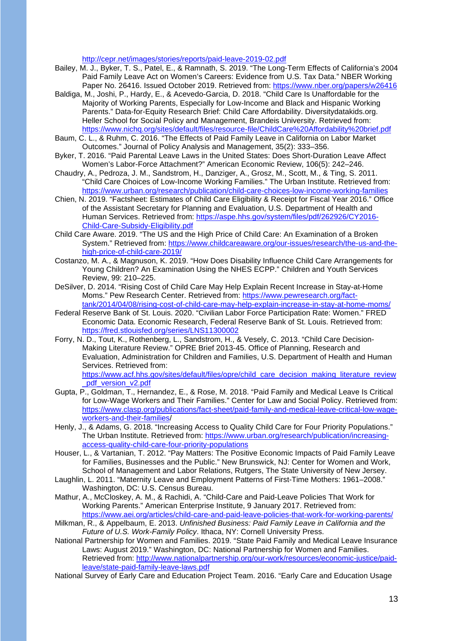<http://cepr.net/images/stories/reports/paid-leave-2019-02.pdf>

- Bailey, M. J., Byker, T. S., Patel, E., & Ramnath, S. 2019. "The Long-Term Effects of California's 2004 Paid Family Leave Act on Women's Careers: Evidence from U.S. Tax Data." NBER Working Paper No. 26416. Issued October 2019. Retrieved from:<https://www.nber.org/papers/w26416>
- Baldiga, M., Joshi, P., Hardy, E., & Acevedo-Garcia, D. 2018. "Child Care Is Unaffordable for the Majority of Working Parents, Especially for Low-Income and Black and Hispanic Working Parents." Data-for-Equity Research Brief: Child Care Affordability. Diversitydatakids.org. Heller School for Social Policy and Management, Brandeis University. Retrieved from: <https://www.nichq.org/sites/default/files/resource-file/ChildCare%20Affordability%20brief.pdf>
- Baum, C. L., & Ruhm, C. 2016. "The Effects of Paid Family Leave in California on Labor Market Outcomes." Journal of Policy Analysis and Management, 35(2): 333–356.
- Byker, T. 2016. "Paid Parental Leave Laws in the United States: Does Short-Duration Leave Affect Women's Labor-Force Attachment?" American Economic Review, 106(5): 242–246.
- Chaudry, A., Pedroza, J. M., Sandstrom, H., Danziger, A., Grosz, M., Scott, M., & Ting, S. 2011. "Child Care Choices of Low-Income Working Families." The Urban Institute. Retrieved from: <https://www.urban.org/research/publication/child-care-choices-low-income-working-families>
- Chien, N. 2019. "Factsheet: Estimates of Child Care Eligibility & Receipt for Fiscal Year 2016." Office of the Assistant Secretary for Planning and Evaluation, U.S. Department of Health and Human Services. Retrieved from: [https://aspe.hhs.gov/system/files/pdf/262926/CY2016-](https://aspe.hhs.gov/system/files/pdf/262926/CY2016-Child-Care-Subsidy-Eligibility.pdf) [Child-Care-Subsidy-Eligibility.pdf](https://aspe.hhs.gov/system/files/pdf/262926/CY2016-Child-Care-Subsidy-Eligibility.pdf)
- Child Care Aware. 2019. "The US and the High Price of Child Care: An Examination of a Broken System." Retrieved from: [https://www.childcareaware.org/our-issues/research/the-us-and-the](https://www.childcareaware.org/our-issues/research/the-us-and-the-high-price-of-child-care-2019/)[high-price-of-child-care-2019/](https://www.childcareaware.org/our-issues/research/the-us-and-the-high-price-of-child-care-2019/)
- Costanzo, M. A., & Magnuson, K. 2019. "How Does Disability Influence Child Care Arrangements for Young Children? An Examination Using the NHES ECPP." Children and Youth Services Review, 99: 210–225.
- DeSilver, D. 2014. "Rising Cost of Child Care May Help Explain Recent Increase in Stay-at-Home Moms." Pew Research Center. Retrieved from: [https://www.pewresearch.org/fact](https://www.pewresearch.org/fact-tank/2014/04/08/rising-cost-of-child-care-may-help-explain-increase-in-stay-at-home-moms/)[tank/2014/04/08/rising-cost-of-child-care-may-help-explain-increase-in-stay-at-home-moms/](https://www.pewresearch.org/fact-tank/2014/04/08/rising-cost-of-child-care-may-help-explain-increase-in-stay-at-home-moms/)
- Federal Reserve Bank of St. Louis. 2020. "Civilian Labor Force Participation Rate: Women." FRED Economic Data. Economic Research, Federal Reserve Bank of St. Louis. Retrieved from: <https://fred.stlouisfed.org/series/LNS11300002>
- Forry, N. D., Tout, K., Rothenberg, L., Sandstrom, H., & Vesely, C. 2013. "Child Care Decision-Making Literature Review." OPRE Brief 2013-45. Office of Planning, Research and Evaluation, Administration for Children and Families, U.S. Department of Health and Human Services. Retrieved from: [https://www.acf.hhs.gov/sites/default/files/opre/child\\_care\\_decision\\_making\\_literature\\_review](https://www.acf.hhs.gov/sites/default/files/opre/child_care_decision_making_literature_review_pdf_version_v2.pdf)

pdf\_version\_v2.pdf

- Gupta, P., Goldman, T., Hernandez, E., & Rose, M. 2018. "Paid Family and Medical Leave Is Critical for Low-Wage Workers and Their Families." Center for Law and Social Policy. Retrieved from: [https://www.clasp.org/publications/fact-sheet/paid-family-and-medical-leave-critical-low-wage](https://www.clasp.org/publications/fact-sheet/paid-family-and-medical-leave-critical-low-wage-workers-and-their-families)[workers-and-their-families/](https://www.clasp.org/publications/fact-sheet/paid-family-and-medical-leave-critical-low-wage-workers-and-their-families)
- Henly, J., & Adams, G. 2018. "Increasing Access to Quality Child Care for Four Priority Populations." The Urban Institute. Retrieved from: [https://www.urban.org/research/publication/increasing](https://www.urban.org/research/publication/increasing-access-quality-child-care-four-priority-populations)[access-quality-child-care-four-priority-populations](https://www.urban.org/research/publication/increasing-access-quality-child-care-four-priority-populations)
- Houser, L., & Vartanian, T. 2012. "Pay Matters: The Positive Economic Impacts of Paid Family Leave for Families, Businesses and the Public." New Brunswick, NJ: Center for Women and Work, School of Management and Labor Relations, Rutgers, The State University of New Jersey.
- Laughlin, L. 2011. "Maternity Leave and Employment Patterns of First-Time Mothers: 1961–2008." Washington, DC: U.S. Census Bureau.
- Mathur, A., McCloskey, A. M., & Rachidi, A. "Child-Care and Paid-Leave Policies That Work for Working Parents." American Enterprise Institute, 9 January 2017. Retrieved from: <https://www.aei.org/articles/child-care-and-paid-leave-policies-that-work-for-working-parents/>
- Milkman, R., & Appelbaum, E. 2013. *Unfinished Business: Paid Family Leave in California and the Future of U.S. Work-Family Policy*. Ithaca, NY: Cornell University Press.
- National Partnership for Women and Families. 2019. "State Paid Family and Medical Leave Insurance Laws: August 2019." Washington, DC: National Partnership for Women and Families. Retrieved from: [http://www.nationalpartnership.org/our-work/resources/economic-justice/paid](http://www.nationalpartnership.org/our-work/resources/economic-justice/paid-leave/state-paid-family-leave-laws.pdf)[leave/state-paid-family-leave-laws.pdf](http://www.nationalpartnership.org/our-work/resources/economic-justice/paid-leave/state-paid-family-leave-laws.pdf)
- National Survey of Early Care and Education Project Team. 2016. "Early Care and Education Usage